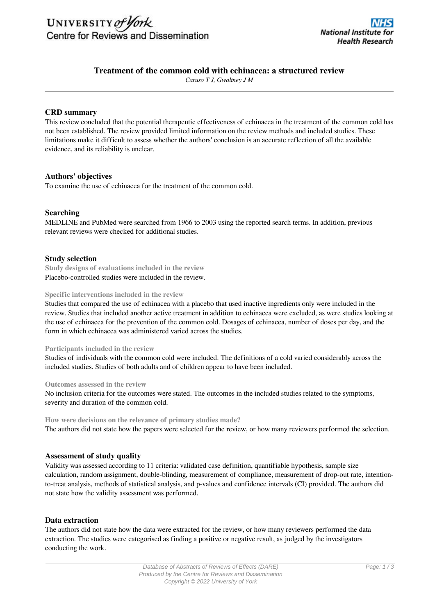

# **Treatment of the common cold with echinacea: a structured review**

*Caruso T J, Gwaltney J M*

### **CRD summary**

This review concluded that the potential therapeutic effectiveness of echinacea in the treatment of the common cold has not been established. The review provided limited information on the review methods and included studies. These limitations make it difficult to assess whether the authors' conclusion is an accurate reflection of all the available evidence, and its reliability is unclear.

## **Authors' objectives**

To examine the use of echinacea for the treatment of the common cold.

## **Searching**

MEDLINE and PubMed were searched from 1966 to 2003 using the reported search terms. In addition, previous relevant reviews were checked for additional studies.

### **Study selection**

**Study designs of evaluations included in the review** Placebo-controlled studies were included in the review.

#### **Specific interventions included in the review**

Studies that compared the use of echinacea with a placebo that used inactive ingredients only were included in the review. Studies that included another active treatment in addition to echinacea were excluded, as were studies looking at the use of echinacea for the prevention of the common cold. Dosages of echinacea, number of doses per day, and the form in which echinacea was administered varied across the studies.

#### **Participants included in the review**

Studies of individuals with the common cold were included. The definitions of a cold varied considerably across the included studies. Studies of both adults and of children appear to have been included.

#### **Outcomes assessed in the review**

No inclusion criteria for the outcomes were stated. The outcomes in the included studies related to the symptoms, severity and duration of the common cold.

#### **How were decisions on the relevance of primary studies made?**

The authors did not state how the papers were selected for the review, or how many reviewers performed the selection.

### **Assessment of study quality**

Validity was assessed according to 11 criteria: validated case definition, quantifiable hypothesis, sample size calculation, random assignment, double-blinding, measurement of compliance, measurement of drop-out rate, intentionto-treat analysis, methods of statistical analysis, and p-values and confidence intervals (CI) provided. The authors did not state how the validity assessment was performed.

### **Data extraction**

The authors did not state how the data were extracted for the review, or how many reviewers performed the data extraction. The studies were categorised as finding a positive or negative result, as judged by the investigators conducting the work.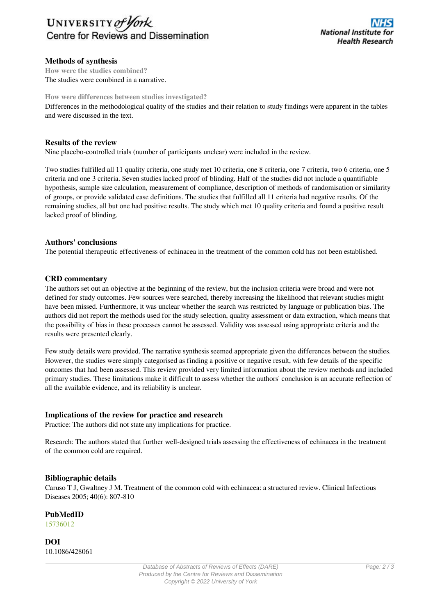

## **Methods of synthesis**

**How were the studies combined?** The studies were combined in a narrative.

### **How were differences between studies investigated?**

Differences in the methodological quality of the studies and their relation to study findings were apparent in the tables and were discussed in the text.

## **Results of the review**

Nine placebo-controlled trials (number of participants unclear) were included in the review.

Two studies fulfilled all 11 quality criteria, one study met 10 criteria, one 8 criteria, one 7 criteria, two 6 criteria, one 5 criteria and one 3 criteria. Seven studies lacked proof of blinding. Half of the studies did not include a quantifiable hypothesis, sample size calculation, measurement of compliance, description of methods of randomisation or similarity of groups, or provide validated case definitions. The studies that fulfilled all 11 criteria had negative results. Of the remaining studies, all but one had positive results. The study which met 10 quality criteria and found a positive result lacked proof of blinding.

## **Authors' conclusions**

The potential therapeutic effectiveness of echinacea in the treatment of the common cold has not been established.

## **CRD commentary**

The authors set out an objective at the beginning of the review, but the inclusion criteria were broad and were not defined for study outcomes. Few sources were searched, thereby increasing the likelihood that relevant studies might have been missed. Furthermore, it was unclear whether the search was restricted by language or publication bias. The authors did not report the methods used for the study selection, quality assessment or data extraction, which means that the possibility of bias in these processes cannot be assessed. Validity was assessed using appropriate criteria and the results were presented clearly.

Few study details were provided. The narrative synthesis seemed appropriate given the differences between the studies. However, the studies were simply categorised as finding a positive or negative result, with few details of the specific outcomes that had been assessed. This review provided very limited information about the review methods and included primary studies. These limitations make it difficult to assess whether the authors' conclusion is an accurate reflection of all the available evidence, and its reliability is unclear.

## **Implications of the review for practice and research**

Practice: The authors did not state any implications for practice.

Research: The authors stated that further well-designed trials assessing the effectiveness of echinacea in the treatment of the common cold are required.

## **Bibliographic details**

Caruso T J, Gwaltney J M. Treatment of the common cold with echinacea: a structured review. Clinical Infectious Diseases 2005; 40(6): 807-810

# **PubMedID**

[15736012](http://www.ncbi.nlm.nih.gov/pubmed?term=15736012)

**DOI** 10.1086/428061